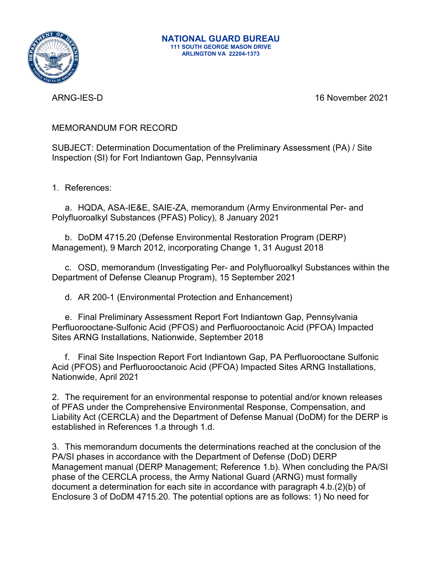

ARNG-IES-D 16 November 2021

### MEMORANDUM FOR RECORD

SUBJECT: Determination Documentation of the Preliminary Assessment (PA) / Site Inspection (SI) for Fort Indiantown Gap, Pennsylvania

1. References:

a. HQDA, ASA-IE&E, SAIE-ZA, memorandum (Army Environmental Per- and Polyfluoroalkyl Substances (PFAS) Policy), 8 January 2021

b. DoDM 4715.20 (Defense Environmental Restoration Program (DERP) Management), 9 March 2012, incorporating Change 1, 31 August 2018

c. OSD, memorandum (Investigating Per- and Polyfluoroalkyl Substances within the Department of Defense Cleanup Program), 15 September 2021

d. AR 200-1 (Environmental Protection and Enhancement)

e. Final Preliminary Assessment Report Fort Indiantown Gap, Pennsylvania Perfluorooctane-Sulfonic Acid (PFOS) and Perfluorooctanoic Acid (PFOA) Impacted Sites ARNG Installations, Nationwide, September 2018

f. Final Site Inspection Report Fort Indiantown Gap, PA Perfluorooctane Sulfonic Acid (PFOS) and Perfluorooctanoic Acid (PFOA) Impacted Sites ARNG Installations, Nationwide, April 2021

2. The requirement for an environmental response to potential and/or known releases of PFAS under the Comprehensive Environmental Response, Compensation, and Liability Act (CERCLA) and the Department of Defense Manual (DoDM) for the DERP is established in References 1.a through 1.d.

3. This memorandum documents the determinations reached at the conclusion of the PA/SI phases in accordance with the Department of Defense (DoD) DERP Management manual (DERP Management; Reference 1.b). When concluding the PA/SI phase of the CERCLA process, the Army National Guard (ARNG) must formally document a determination for each site in accordance with paragraph 4.b.(2)(b) of Enclosure 3 of DoDM 4715.20. The potential options are as follows: 1) No need for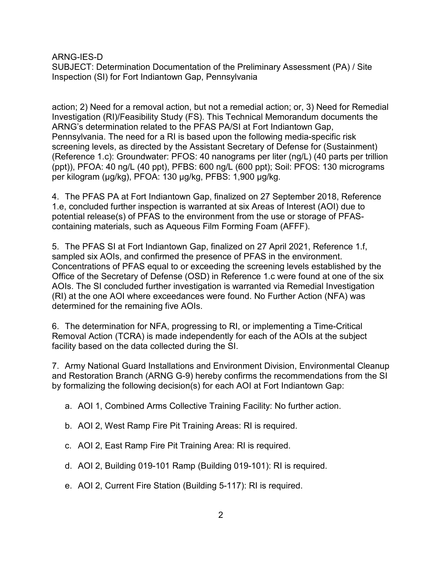ARNG-IES-D

SUBJECT: Determination Documentation of the Preliminary Assessment (PA) / Site Inspection (SI) for Fort Indiantown Gap, Pennsylvania

action; 2) Need for a removal action, but not a remedial action; or, 3) Need for Remedial Investigation (RI)/Feasibility Study (FS). This Technical Memorandum documents the ARNG's determination related to the PFAS PA/SI at Fort Indiantown Gap, Pennsylvania. The need for a RI is based upon the following media-specific risk screening levels, as directed by the Assistant Secretary of Defense for (Sustainment) (Reference 1.c): Groundwater: PFOS: 40 nanograms per liter (ng/L) (40 parts per trillion (ppt)), PFOA: 40 ng/L (40 ppt), PFBS: 600 ng/L (600 ppt); Soil: PFOS: 130 micrograms per kilogram (μg/kg), PFOA: 130 μg/kg, PFBS: 1,900 μg/kg.

4. The PFAS PA at Fort Indiantown Gap, finalized on 27 September 2018, Reference 1.e, concluded further inspection is warranted at six Areas of Interest (AOI) due to potential release(s) of PFAS to the environment from the use or storage of PFAScontaining materials, such as Aqueous Film Forming Foam (AFFF).

5. The PFAS SI at Fort Indiantown Gap, finalized on 27 April 2021, Reference 1.f, sampled six AOIs, and confirmed the presence of PFAS in the environment. Concentrations of PFAS equal to or exceeding the screening levels established by the Office of the Secretary of Defense (OSD) in Reference 1.c were found at one of the six AOIs. The SI concluded further investigation is warranted via Remedial Investigation (RI) at the one AOI where exceedances were found. No Further Action (NFA) was determined for the remaining five AOIs.

6. The determination for NFA, progressing to RI, or implementing a Time-Critical Removal Action (TCRA) is made independently for each of the AOIs at the subject facility based on the data collected during the SI.

7. Army National Guard Installations and Environment Division, Environmental Cleanup and Restoration Branch (ARNG G-9) hereby confirms the recommendations from the SI by formalizing the following decision(s) for each AOI at Fort Indiantown Gap:

a. AOI 1, Combined Arms Collective Training Facility: No further action.

- b. AOI 2, West Ramp Fire Pit Training Areas: RI is required.
- c. AOI 2, East Ramp Fire Pit Training Area: RI is required.
- d. AOI 2, Building 019-101 Ramp (Building 019-101): RI is required.
- e. AOI 2, Current Fire Station (Building 5-117): RI is required.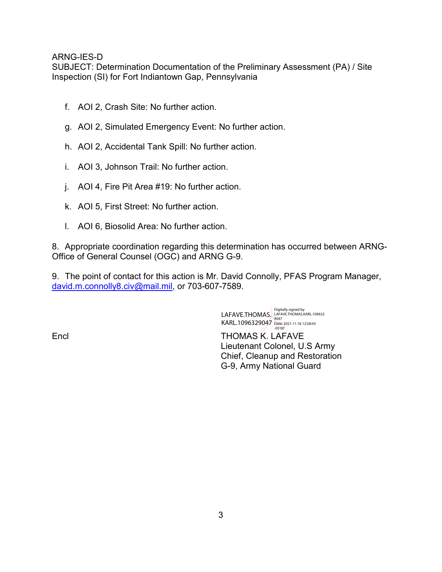#### ARNG-IES-D

SUBJECT: Determination Documentation of the Preliminary Assessment (PA) / Site Inspection (SI) for Fort Indiantown Gap, Pennsylvania

- f. AOI 2, Crash Site: No further action.
- g. AOI 2, Simulated Emergency Event: No further action.
- h. AOI 2, Accidental Tank Spill: No further action.
- i. AOI 3, Johnson Trail: No further action.
- j. AOI 4, Fire Pit Area #19: No further action.
- k. AOI 5, First Street: No further action.
- l. AOI 6, Biosolid Area: No further action.

8. Appropriate coordination regarding this determination has occurred between ARNG-Office of General Counsel (OGC) and ARNG G-9.

9. The point of contact for this action is Mr. David Connolly, PFAS Program Manager, [david.m.connolly8.civ@mail.mil,](mailto:david.m.connolly8.civ@mail.mil) or 703-607-7589.

> LAFAVE.THOMAS. KARL.1096329047 Digitally signed by<br>LAFAVE.THOMAS.KARL.109632<br>9047<br>Date: 2021.11.16 12:58:43<br>-05'00'

Encl THOMAS K. LAFAVE Lieutenant Colonel, U.S Army Chief, Cleanup and Restoration G-9, Army National Guard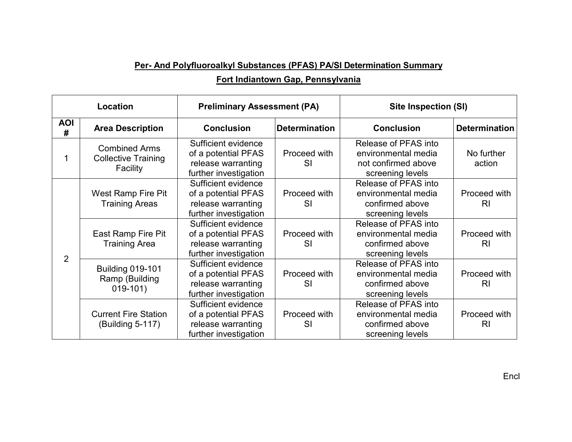# **Per- And Polyfluoroalkyl Substances (PFAS) PA/SI Determination Summary**

### **Fort Indiantown Gap, Pennsylvania**

| Location        |                                                                | <b>Preliminary Assessment (PA)</b>                                                        |                           | <b>Site Inspection (SI)</b>                                                            |                                |
|-----------------|----------------------------------------------------------------|-------------------------------------------------------------------------------------------|---------------------------|----------------------------------------------------------------------------------------|--------------------------------|
| <b>AOI</b><br># | <b>Area Description</b>                                        | <b>Conclusion</b>                                                                         | <b>Determination</b>      | <b>Conclusion</b>                                                                      | <b>Determination</b>           |
|                 | <b>Combined Arms</b><br><b>Collective Training</b><br>Facility | Sufficient evidence<br>of a potential PFAS<br>release warranting<br>further investigation | Proceed with<br>SI        | Release of PFAS into<br>environmental media<br>not confirmed above<br>screening levels | No further<br>action           |
| $\overline{2}$  | West Ramp Fire Pit<br><b>Training Areas</b>                    | Sufficient evidence<br>of a potential PFAS<br>release warranting<br>further investigation | Proceed with<br>SI        | Release of PFAS into<br>environmental media<br>confirmed above<br>screening levels     | Proceed with<br>RI.            |
|                 | East Ramp Fire Pit<br><b>Training Area</b>                     | Sufficient evidence<br>of a potential PFAS<br>release warranting<br>further investigation | Proceed with<br><b>SI</b> | Release of PFAS into<br>environmental media<br>confirmed above<br>screening levels     | Proceed with<br>R <sub>l</sub> |
|                 | <b>Building 019-101</b><br>Ramp (Building<br>$019-101)$        | Sufficient evidence<br>of a potential PFAS<br>release warranting<br>further investigation | Proceed with<br><b>SI</b> | Release of PFAS into<br>environmental media<br>confirmed above<br>screening levels     | Proceed with<br>R <sub>l</sub> |
|                 | <b>Current Fire Station</b><br>(Building 5-117)                | Sufficient evidence<br>of a potential PFAS<br>release warranting<br>further investigation | Proceed with<br>SI        | Release of PFAS into<br>environmental media<br>confirmed above<br>screening levels     | Proceed with<br>R <sub>l</sub> |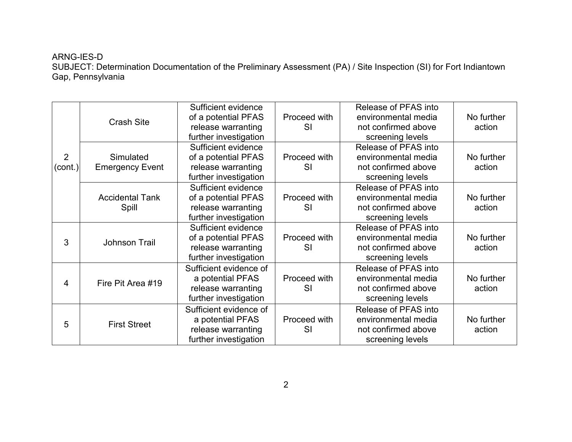# ARNG-IES-D SUBJECT: Determination Documentation of the Preliminary Assessment (PA) / Site Inspection (SI) for Fort Indiantown Gap, Pennsylvania

| $\overline{2}$<br>(cont.) | <b>Crash Site</b>                   | Sufficient evidence<br>of a potential PFAS<br>release warranting<br>further investigation | Proceed with<br>SI | Release of PFAS into<br>environmental media<br>not confirmed above<br>screening levels | No further<br>action |
|---------------------------|-------------------------------------|-------------------------------------------------------------------------------------------|--------------------|----------------------------------------------------------------------------------------|----------------------|
|                           | Simulated<br><b>Emergency Event</b> | Sufficient evidence<br>of a potential PFAS<br>release warranting<br>further investigation | Proceed with<br>SI | Release of PFAS into<br>environmental media<br>not confirmed above<br>screening levels | No further<br>action |
|                           | <b>Accidental Tank</b><br>Spill     | Sufficient evidence<br>of a potential PFAS<br>release warranting<br>further investigation | Proceed with<br>SI | Release of PFAS into<br>environmental media<br>not confirmed above<br>screening levels | No further<br>action |
| 3                         | <b>Johnson Trail</b>                | Sufficient evidence<br>of a potential PFAS<br>release warranting<br>further investigation | Proceed with<br>SI | Release of PFAS into<br>environmental media<br>not confirmed above<br>screening levels | No further<br>action |
| 4                         | Fire Pit Area #19                   | Sufficient evidence of<br>a potential PFAS<br>release warranting<br>further investigation | Proceed with<br>SI | Release of PFAS into<br>environmental media<br>not confirmed above<br>screening levels | No further<br>action |
| $5\phantom{.0}$           | <b>First Street</b>                 | Sufficient evidence of<br>a potential PFAS<br>release warranting<br>further investigation | Proceed with<br>SI | Release of PFAS into<br>environmental media<br>not confirmed above<br>screening levels | No further<br>action |